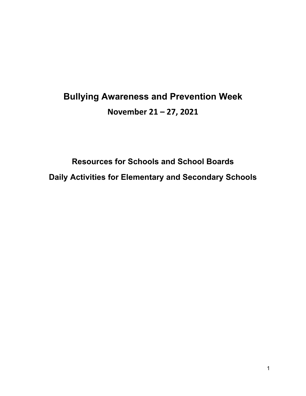# **Bullying Awareness and Prevention Week November 21 – 27, 2021**

**Resources for Schools and School Boards Daily Activities for Elementary and Secondary Schools**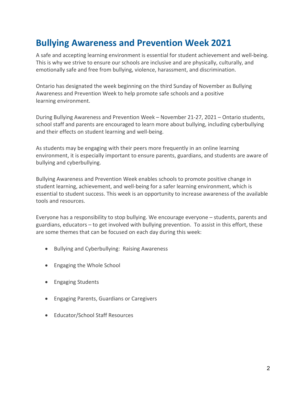## **Bullying Awareness and Prevention Week 2021**

A safe and accepting learning environment is essential for student achievement and well-being. This is why we strive to ensure our schools are inclusive and are physically, culturally, and emotionally safe and free from bullying, violence, harassment, and discrimination.

Ontario has designated the week beginning on the third Sunday of November as Bullying Awareness and Prevention Week to help promote safe schools and a positive learning environment.

During Bullying Awareness and Prevention Week – November 21-27, 2021 – Ontario students, school staff and parents are encouraged to learn more about bullying, including cyberbullying and their effects on student learning and well-being.

As students may be engaging with their peers more frequently in an online learning environment, it is especially important to ensure parents, guardians, and students are aware of bullying and cyberbullying.

Bullying Awareness and Prevention Week enables schools to promote positive change in student learning, achievement, and well-being for a safer learning environment, which is essential to student success. This week is an opportunity to increase awareness of the available tools and resources.

Everyone has a responsibility to stop bullying. We encourage everyone – students, parents and guardians, educators – to get involved with bullying prevention. To assist in this effort, these are some themes that can be focused on each day during this week:

- Bullying and Cyberbullying: Raising Awareness
- Engaging the Whole School
- Engaging Students
- Engaging Parents, Guardians or Caregivers
- Educator/School Staff Resources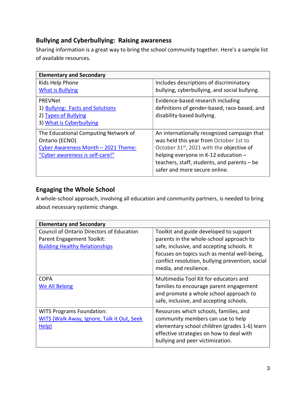#### **Bullying and Cyberbullying: Raising awareness**

Sharing information is a great way to bring the school community together. Here's a sample list of available resources.

| <b>Elementary and Secondary</b>                                                                                                  |                                                                                                                                                                                                                                                                        |
|----------------------------------------------------------------------------------------------------------------------------------|------------------------------------------------------------------------------------------------------------------------------------------------------------------------------------------------------------------------------------------------------------------------|
| Kids Help Phone                                                                                                                  | Includes descriptions of discriminatory                                                                                                                                                                                                                                |
| <b>What is Bullying</b>                                                                                                          | bullying, cyberbullying, and social bullying.                                                                                                                                                                                                                          |
| PREVNet<br>1) Bullying: Facts and Solutions<br>2) Types of Bullying<br>3) What is Cyberbullying                                  | Evidence-based research including<br>definitions of gender-based, race-based, and<br>disability-based bullying.                                                                                                                                                        |
| The Educational Computing Network of<br>Ontario (ECNO)<br>Cyber Awareness Month - 2021 Theme:<br>"Cyber awareness is self-care!" | An internationally recognized campaign that<br>was held this year from October 1st to<br>October 31 <sup>st</sup> , 2021 with the objective of<br>helping everyone in K-12 education -<br>teachers, staff, students, and parents - be<br>safer and more secure online. |

#### **Engaging the Whole School**

A whole-school approach, involving all education and community partners, is needed to bring about necessary systemic change.

| <b>Elementary and Secondary</b>                                                                                         |                                                                                                                                                                                                                                                               |
|-------------------------------------------------------------------------------------------------------------------------|---------------------------------------------------------------------------------------------------------------------------------------------------------------------------------------------------------------------------------------------------------------|
| <b>Council of Ontario Directors of Education</b><br>Parent Engagement Toolkit:<br><b>Building Healthy Relationships</b> | Toolkit and guide developed to support<br>parents in the whole-school approach to<br>safe, inclusive, and accepting schools. It<br>focuses on topics such as mental well-being,<br>conflict resolution, bullying prevention, social<br>media, and resilience. |
| <b>COPA</b><br>We All Belong                                                                                            | Multimedia Tool Kit for educators and<br>families to encourage parent engagement<br>and promote a whole school approach to<br>safe, inclusive, and accepting schools.                                                                                         |
| <b>WITS Programs Foundation:</b><br><b>WITS (Walk Away, Ignore, Talk it Out, Seek</b><br>Help)                          | Resources which schools, families, and<br>community members can use to help<br>elementary school children (grades 1-6) learn<br>effective strategies on how to deal with<br>bullying and peer victimization.                                                  |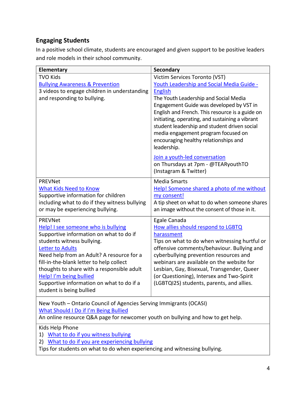### **Engaging Students**

In a positive school climate, students are encouraged and given support to be positive leaders and role models in their school community.

| Elementary                                                                                                                                                                                                                                                                                                                                                                                           | <b>Secondary</b>                                                                                                                                                                                                                                                                                                                                                                                                                       |
|------------------------------------------------------------------------------------------------------------------------------------------------------------------------------------------------------------------------------------------------------------------------------------------------------------------------------------------------------------------------------------------------------|----------------------------------------------------------------------------------------------------------------------------------------------------------------------------------------------------------------------------------------------------------------------------------------------------------------------------------------------------------------------------------------------------------------------------------------|
| <b>TVO Kids</b><br><b>Bullying Awareness &amp; Prevention</b><br>3 videos to engage children in understanding<br>and responding to bullying.                                                                                                                                                                                                                                                         | Victim Services Toronto (VST)<br>Youth Leadership and Social Media Guide -<br><b>English</b><br>The Youth Leadership and Social Media<br>Engagement Guide was developed by VST in<br>English and French. This resource is a guide on<br>initiating, operating, and sustaining a vibrant<br>student leadership and student driven social<br>media engagement program focused on<br>encouraging healthy relationships and<br>leadership. |
|                                                                                                                                                                                                                                                                                                                                                                                                      | Join a youth-led conversation<br>on Thursdays at 7pm - @TEARyouthTO<br>(Instagram & Twitter)                                                                                                                                                                                                                                                                                                                                           |
| <b>PREVNet</b><br>What Kids Need to Know<br>Supportive information for children<br>including what to do if they witness bullying<br>or may be experiencing bullying.                                                                                                                                                                                                                                 | <b>Media Smarts</b><br>Help! Someone shared a photo of me without<br>my consent!<br>A tip sheet on what to do when someone shares<br>an image without the consent of those in it.                                                                                                                                                                                                                                                      |
| <b>PREVNet</b><br>Help! I see someone who is bullying<br>Supportive information on what to do if<br>students witness bullying.<br><b>Letter to Adults</b><br>Need help from an Adult? A resource for a<br>fill-in-the-blank letter to help collect<br>thoughts to share with a responsible adult<br>Help! I'm being bullied<br>Supportive information on what to do if a<br>student is being bullied | Egale Canada<br>How allies should respond to LGBTQ<br>harassment<br>Tips on what to do when witnessing hurtful or<br>offensive comments/behaviour. Bullying and<br>cyberbullying prevention resources and<br>webinars are available on the website for<br>Lesbian, Gay, Bisexual, Transgender, Queer<br>(or Questioning), Intersex and Two-Spirit<br>(LGBTQI2S) students, parents, and allies.                                         |
| New Youth - Ontario Council of Agencies Serving Immigrants (OCASI)<br><b>What Should I Do if I'm Being Bullied</b><br>An online resource Q&A page for newcomer youth on bullying and how to get help.                                                                                                                                                                                                |                                                                                                                                                                                                                                                                                                                                                                                                                                        |
| Kids Help Phone<br>1) What to do if you witness bullying<br>What to do if you are experiencing bullying<br>2)                                                                                                                                                                                                                                                                                        |                                                                                                                                                                                                                                                                                                                                                                                                                                        |

Tips for students on what to do when experiencing and witnessing bullying.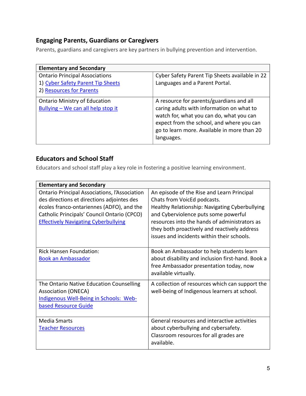#### **Engaging Parents, Guardians or Caregivers**

Parents, guardians and caregivers are key partners in bullying prevention and intervention.

| <b>Elementary and Secondary</b>                                                                        |                                                                                                                                                                                                                                             |
|--------------------------------------------------------------------------------------------------------|---------------------------------------------------------------------------------------------------------------------------------------------------------------------------------------------------------------------------------------------|
| <b>Ontario Principal Associations</b><br>1) Cyber Safety Parent Tip Sheets<br>2) Resources for Parents | Cyber Safety Parent Tip Sheets available in 22<br>Languages and a Parent Portal.                                                                                                                                                            |
| <b>Ontario Ministry of Education</b><br>Bullying - We can all help stop it                             | A resource for parents/guardians and all<br>caring adults with information on what to<br>watch for, what you can do, what you can<br>expect from the school, and where you can<br>go to learn more. Available in more than 20<br>languages. |

#### **Educators and School Staff**

Educators and school staff play a key role in fostering a positive learning environment.

| <b>Elementary and Secondary</b>                                                                                                                                                                                                               |                                                                                                                                                                                                                                                                                                                    |
|-----------------------------------------------------------------------------------------------------------------------------------------------------------------------------------------------------------------------------------------------|--------------------------------------------------------------------------------------------------------------------------------------------------------------------------------------------------------------------------------------------------------------------------------------------------------------------|
| <b>Ontario Principal Associations, l'Association</b><br>des directions et directions adjointes des<br>écoles franco-ontariennes (ADFO), and the<br>Catholic Principals' Council Ontario (CPCO)<br><b>Effectively Navigating Cyberbullying</b> | An episode of the Rise and Learn Principal<br>Chats from VoicEd podcasts.<br>Healthy Relationship: Navigating Cyberbullying<br>and Cyberviolence puts some powerful<br>resources into the hands of administrators as<br>they both proactively and reactively address<br>issues and incidents within their schools. |
| Rick Hansen Foundation:<br><b>Book an Ambassador</b>                                                                                                                                                                                          | Book an Ambassador to help students learn<br>about disability and inclusion first-hand. Book a<br>free Ambassador presentation today, now<br>available virtually.                                                                                                                                                  |
| The Ontario Native Education Counselling<br><b>Association (ONECA)</b><br>Indigenous Well-Being in Schools: Web-<br>based Resource Guide                                                                                                      | A collection of resources which can support the<br>well-being of Indigenous learners at school.                                                                                                                                                                                                                    |
| <b>Media Smarts</b><br><b>Teacher Resources</b>                                                                                                                                                                                               | General resources and interactive activities<br>about cyberbullying and cybersafety.<br>Classroom resources for all grades are<br>available.                                                                                                                                                                       |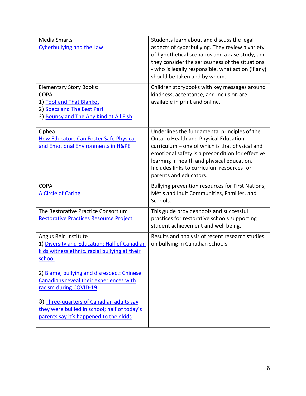| <b>Media Smarts</b><br><b>Cyberbullying and the Law</b><br><b>Elementary Story Books:</b>                                              | Students learn about and discuss the legal<br>aspects of cyberbullying. They review a variety<br>of hypothetical scenarios and a case study, and<br>they consider the seriousness of the situations<br>- who is legally responsible, what action (if any)<br>should be taken and by whom.<br>Children storybooks with key messages around |
|----------------------------------------------------------------------------------------------------------------------------------------|-------------------------------------------------------------------------------------------------------------------------------------------------------------------------------------------------------------------------------------------------------------------------------------------------------------------------------------------|
| <b>COPA</b><br>1) Toof and That Blanket<br>2) Specs and The Best Part<br>3) Bouncy and The Any Kind at All Fish                        | kindness, acceptance, and inclusion are<br>available in print and online.                                                                                                                                                                                                                                                                 |
| Ophea<br><b>How Educators Can Foster Safe Physical</b><br>and Emotional Environments in H&PE                                           | Underlines the fundamental principles of the<br><b>Ontario Health and Physical Education</b><br>curriculum – one of which is that physical and<br>emotional safety is a precondition for effective<br>learning in health and physical education.<br>Includes links to curriculum resources for<br>parents and educators.                  |
| <b>COPA</b><br><b>A Circle of Caring</b>                                                                                               | Bullying prevention resources for First Nations,<br>Métis and Inuit Communities, Families, and<br>Schools.                                                                                                                                                                                                                                |
| The Restorative Practice Consortium<br><b>Restorative Practices Resource Project</b>                                                   | This guide provides tools and successful<br>practices for restorative schools supporting<br>student achievement and well being.                                                                                                                                                                                                           |
| Angus Reid Institute<br>1) Diversity and Education: Half of Canadian<br>kids witness ethnic, racial bullying at their<br><u>school</u> | Results and analysis of recent research studies<br>on bullying in Canadian schools.                                                                                                                                                                                                                                                       |
| 2) Blame, bullying and disrespect: Chinese<br>Canadians reveal their experiences with<br>racism during COVID-19                        |                                                                                                                                                                                                                                                                                                                                           |
| 3) Three-quarters of Canadian adults say<br>they were bullied in school; half of today's<br>parents say it's happened to their kids    |                                                                                                                                                                                                                                                                                                                                           |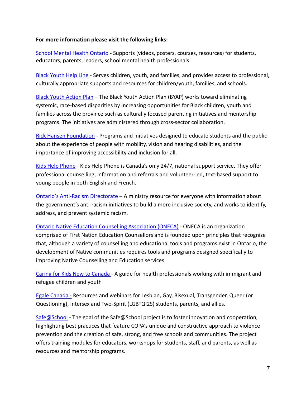#### **For more information please visit the following links:**

[School Mental Health Ontario](https://smho-smso.ca/) - Supports (videos, posters, courses, resources) for students, educators, parents, leaders, school mental health professionals.

[Black Youth Help Line](https://blackyouth.ca/) - Serves children, youth, and families, and provides access to professional, culturally appropriate supports and resources for children/youth, families, and schools.

[Black Youth Action Plan](https://www.ontario.ca/page/black-youth-action-plan) – The Black Youth Action Plan (BYAP) works toward eliminating systemic, race-based disparities by increasing opportunities for Black children, youth and families across the province such as culturally focused parenting initiatives and mentorship programs. The initiatives are administered through cross-sector collaboration.

[Rick Hansen Foundation](https://www.rickhansen.com/schools-communities) - Programs and initiatives designed to educate students and the public about the experience of people with mobility, vision and hearing disabilities, and the importance of improving accessibility and inclusion for all.

[Kids Help Phone](https://kidshelpphone.ca/) - Kids Help Phone is Canada's only 24/7, national support service. They offer professional counselling, information and referrals and volunteer-led, text-based support to young people in both English and French.

[Ontario's Anti-Racism Directorate](https://www.ontario.ca/page/anti-racism-directorate) – A ministry resource for everyone with information about the government's anti-racism initiatives to build a more inclusive society, and works to identify, address, and prevent systemic racism.

[Ontario Native Education Counselling Association \(ONECA\)](https://oneca.com/) - ONECA is an organization comprised of First Nation Education Counsellors and is founded upon principles that recognize that, although a variety of counselling and educational tools and programs exist in Ontario, the development of Native communities requires tools and programs designed specifically to improving Native Counselling and Education services

[Caring for Kids New to Canada](https://www.kidsnewtocanada.ca/health-promotion/youth-resources) - A guide for health professionals working with immigrant and refugee children and youth

[Egale Canada](https://egale.ca/) - Resources and webinars for Lesbian, Gay, Bisexual, Transgender, Queer (or Questioning), Intersex and Two-Spirit (LGBTQI2S) students, parents, and allies.

[Safe@School](https://www.safeatschool.ca/about-safeschool) - The goal of the Safe@School project is to foster innovation and cooperation, highlighting best practices that feature COPA's unique and constructive approach to violence prevention and the creation of safe, strong, and free schools and communities. The project offers training modules for educators, workshops for students, staff, and parents, as well as resources and mentorship programs.